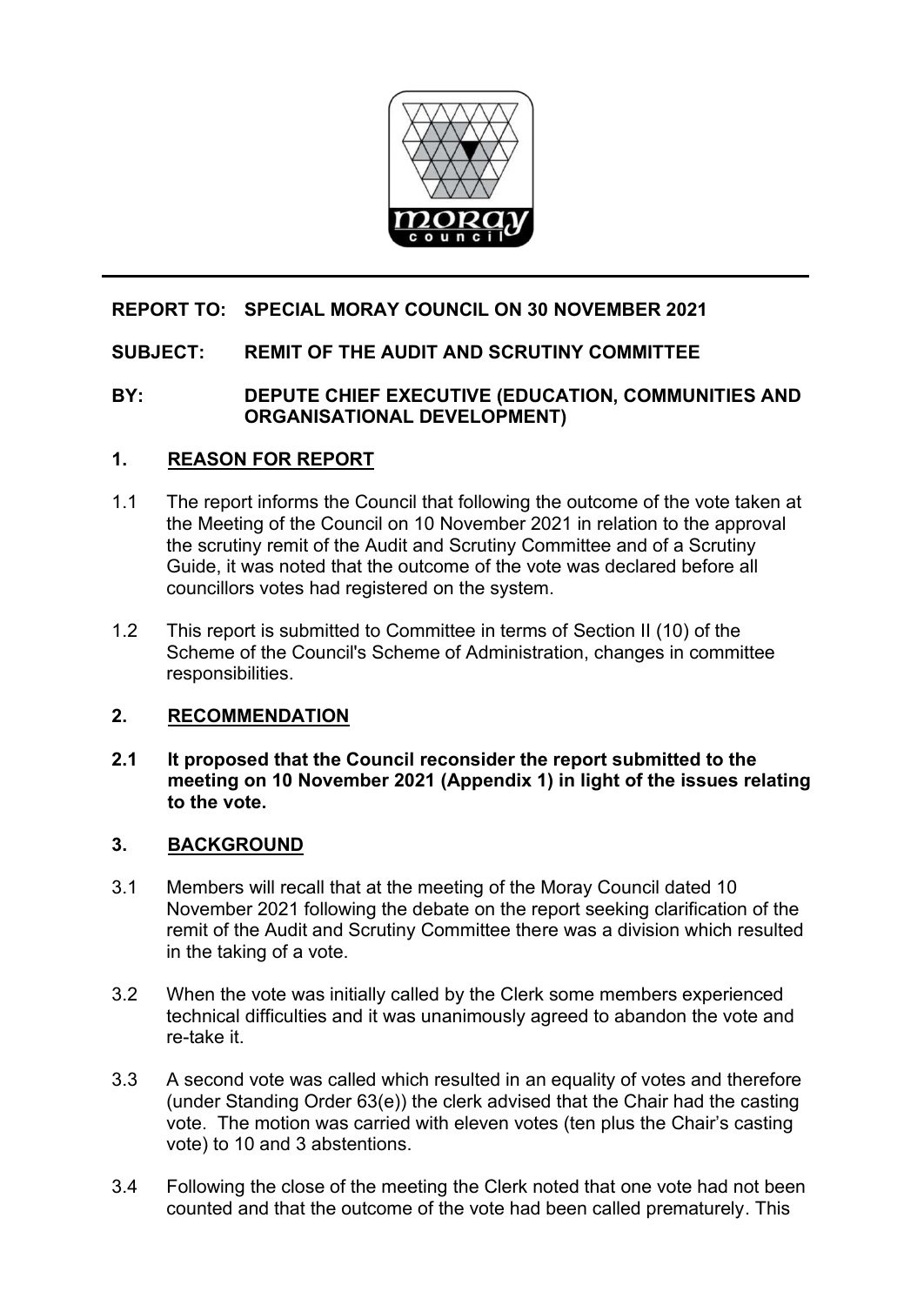

# **REPORT TO: SPECIAL MORAY COUNCIL ON 30 NOVEMBER 2021**

# **SUBJECT: REMIT OF THE AUDIT AND SCRUTINY COMMITTEE**

# **BY: DEPUTE CHIEF EXECUTIVE (EDUCATION, COMMUNITIES AND ORGANISATIONAL DEVELOPMENT)**

# **1. REASON FOR REPORT**

- 1.1 The report informs the Council that following the outcome of the vote taken at the Meeting of the Council on 10 November 2021 in relation to the approval the scrutiny remit of the Audit and Scrutiny Committee and of a Scrutiny Guide, it was noted that the outcome of the vote was declared before all councillors votes had registered on the system.
- 1.2 This report is submitted to Committee in terms of Section II (10) of the Scheme of the Council's Scheme of Administration, changes in committee responsibilities.

#### **2. RECOMMENDATION**

**2.1 It proposed that the Council reconsider the report submitted to the meeting on 10 November 2021 (Appendix 1) in light of the issues relating to the vote.** 

#### **3. BACKGROUND**

- 3.1 Members will recall that at the meeting of the Moray Council dated 10 November 2021 following the debate on the report seeking clarification of the remit of the Audit and Scrutiny Committee there was a division which resulted in the taking of a vote.
- 3.2 When the vote was initially called by the Clerk some members experienced technical difficulties and it was unanimously agreed to abandon the vote and re-take it.
- 3.3 A second vote was called which resulted in an equality of votes and therefore (under Standing Order 63(e)) the clerk advised that the Chair had the casting vote. The motion was carried with eleven votes (ten plus the Chair's casting vote) to 10 and 3 abstentions.
- 3.4 Following the close of the meeting the Clerk noted that one vote had not been counted and that the outcome of the vote had been called prematurely. This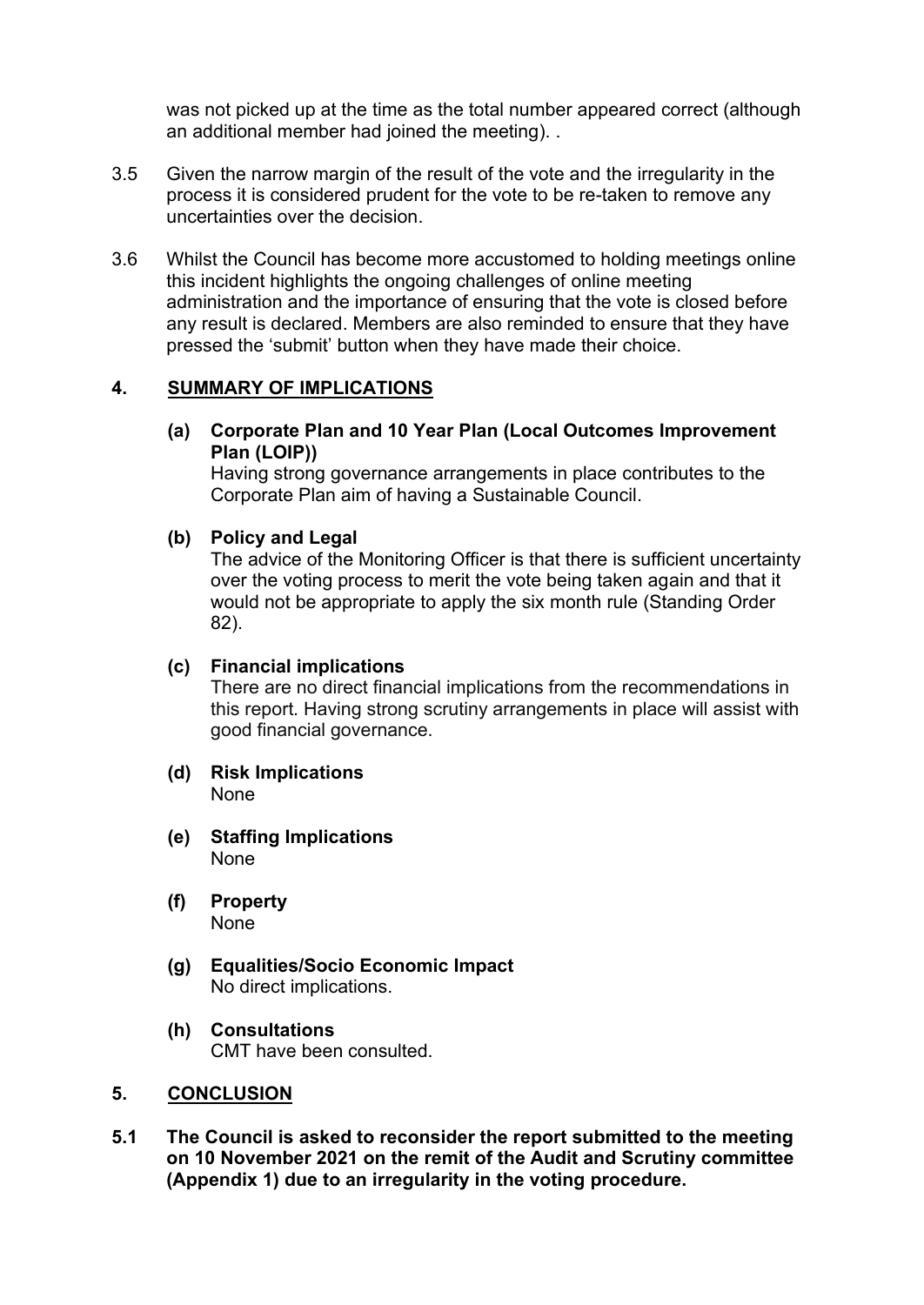was not picked up at the time as the total number appeared correct (although an additional member had joined the meeting). .

- 3.5 Given the narrow margin of the result of the vote and the irregularity in the process it is considered prudent for the vote to be re-taken to remove any uncertainties over the decision.
- 3.6 Whilst the Council has become more accustomed to holding meetings online this incident highlights the ongoing challenges of online meeting administration and the importance of ensuring that the vote is closed before any result is declared. Members are also reminded to ensure that they have pressed the 'submit' button when they have made their choice.

# **4. SUMMARY OF IMPLICATIONS**

**(a) Corporate Plan and 10 Year Plan (Local Outcomes Improvement Plan (LOIP))** 

Having strong governance arrangements in place contributes to the Corporate Plan aim of having a Sustainable Council.

# **(b) Policy and Legal**

The advice of the Monitoring Officer is that there is sufficient uncertainty over the voting process to merit the vote being taken again and that it would not be appropriate to apply the six month rule (Standing Order 82).

#### **(c) Financial implications**

There are no direct financial implications from the recommendations in this report. Having strong scrutiny arrangements in place will assist with good financial governance.

- **(d) Risk Implications**  None
- **(e) Staffing Implications**  None
- **(f) Property**  None
- **(g) Equalities/Socio Economic Impact**  No direct implications.
- **(h) Consultations**  CMT have been consulted.

#### **5. CONCLUSION**

**5.1 The Council is asked to reconsider the report submitted to the meeting on 10 November 2021 on the remit of the Audit and Scrutiny committee (Appendix 1) due to an irregularity in the voting procedure.**